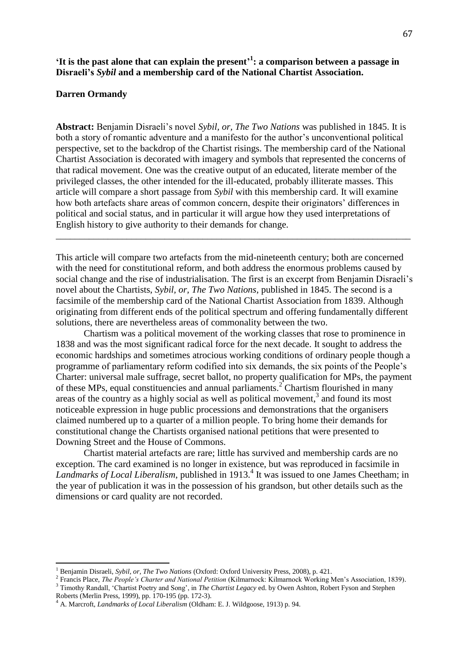# **'It is the past alone that can explain the present' 1 : a comparison between a passage in Disraeli's** *Sybil* **and a membership card of the National Chartist Association.**

## **Darren Ormandy**

 $\overline{a}$ 

**Abstract:** Benjamin Disraeli's novel *Sybil, or, The Two Nations* was published in 1845. It is both a story of romantic adventure and a manifesto for the author's unconventional political perspective, set to the backdrop of the Chartist risings. The membership card of the National Chartist Association is decorated with imagery and symbols that represented the concerns of that radical movement. One was the creative output of an educated, literate member of the privileged classes, the other intended for the ill-educated, probably illiterate masses. This article will compare a short passage from *Sybil* with this membership card. It will examine how both artefacts share areas of common concern, despite their originators' differences in political and social status, and in particular it will argue how they used interpretations of English history to give authority to their demands for change.

This article will compare two artefacts from the mid-nineteenth century; both are concerned with the need for constitutional reform, and both address the enormous problems caused by social change and the rise of industrialisation. The first is an excerpt from Benjamin Disraeli's novel about the Chartists, *Sybil, or, The Two Nations*, published in 1845. The second is a facsimile of the membership card of the National Chartist Association from 1839. Although originating from different ends of the political spectrum and offering fundamentally different solutions, there are nevertheless areas of commonality between the two.

\_\_\_\_\_\_\_\_\_\_\_\_\_\_\_\_\_\_\_\_\_\_\_\_\_\_\_\_\_\_\_\_\_\_\_\_\_\_\_\_\_\_\_\_\_\_\_\_\_\_\_\_\_\_\_\_\_\_\_\_\_\_\_\_\_\_\_\_\_\_\_\_\_\_\_

Chartism was a political movement of the working classes that rose to prominence in 1838 and was the most significant radical force for the next decade. It sought to address the economic hardships and sometimes atrocious working conditions of ordinary people though a programme of parliamentary reform codified into six demands, the six points of the People's Charter: universal male suffrage, secret ballot, no property qualification for MPs, the payment of these MPs, equal constituencies and annual parliaments.<sup>2</sup> Chartism flourished in many areas of the country as a highly social as well as political movement, 3 and found its most noticeable expression in huge public processions and demonstrations that the organisers claimed numbered up to a quarter of a million people. To bring home their demands for constitutional change the Chartists organised national petitions that were presented to Downing Street and the House of Commons.

Chartist material artefacts are rare; little has survived and membership cards are no exception. The card examined is no longer in existence, but was reproduced in facsimile in Landmarks of Local Liberalism, published in 1913.<sup>4</sup> It was issued to one James Cheetham; in the year of publication it was in the possession of his grandson, but other details such as the dimensions or card quality are not recorded.

<sup>&</sup>lt;sup>1</sup> Benjamin Disraeli, *Sybil, or, The Two Nations* (Oxford: Oxford University Press, 2008), p. 421.

<sup>2</sup> Francis Place, *The People's Charter and National Petition* (Kilmarnock: Kilmarnock Working Men's Association, 1839). <sup>3</sup> Timothy Randall, 'Chartist Poetry and Song', in *The Chartist Legacy* ed. by Owen Ashton, Robert Fyson and Stephen Roberts (Merlin Press, 1999), pp. 170-195 (pp. 172-3).

<sup>4</sup> A. Marcroft, *Landmarks of Local Liberalism* (Oldham: E. J. Wildgoose, 1913) p. 94.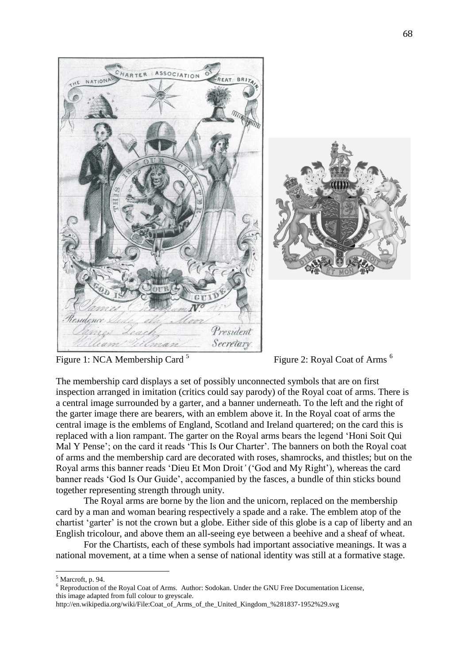

Figure 1: NCA Membership Card <sup>5</sup>

Figure 2: Royal Coat of Arms<sup>6</sup>

The membership card displays a set of possibly unconnected symbols that are on first inspection arranged in imitation (critics could say parody) of the Royal coat of arms. There is a central image surrounded by a garter, and a banner underneath. To the left and the right of the garter image there are bearers, with an emblem above it. In the Royal coat of arms the central image is the emblems of England, Scotland and Ireland quartered; on the card this is replaced with a lion rampant. The garter on the Royal arms bears the legend 'Honi Soit Qui Mal Y Pense'; on the card it reads 'This Is Our Charter'. The banners on both the Royal coat of arms and the membership card are decorated with roses, shamrocks, and thistles; but on the Royal arms this banner reads 'Dieu Et Mon Droit*'* ('God and My Right'), whereas the card banner reads 'God Is Our Guide', accompanied by the fasces, a bundle of thin sticks bound together representing strength through unity.

The Royal arms are borne by the lion and the unicorn, replaced on the membership card by a man and woman bearing respectively a spade and a rake. The emblem atop of the chartist 'garter' is not the crown but a globe. Either side of this globe is a cap of liberty and an English tricolour, and above them an all-seeing eye between a beehive and a sheaf of wheat.

For the Chartists, each of these symbols had important associative meanings. It was a national movement, at a time when a sense of national identity was still at a formative stage.

 $\overline{a}$ <sup>5</sup> Marcroft, p. 94.

 $6$  Reproduction of the Royal Coat of Arms. Author: Sodokan. Under the GNU Free Documentation License, this image adapted from full colour to greyscale.

http://en.wikipedia.org/wiki/File:Coat\_of\_Arms\_of\_the\_United\_Kingdom\_%281837-1952%29.svg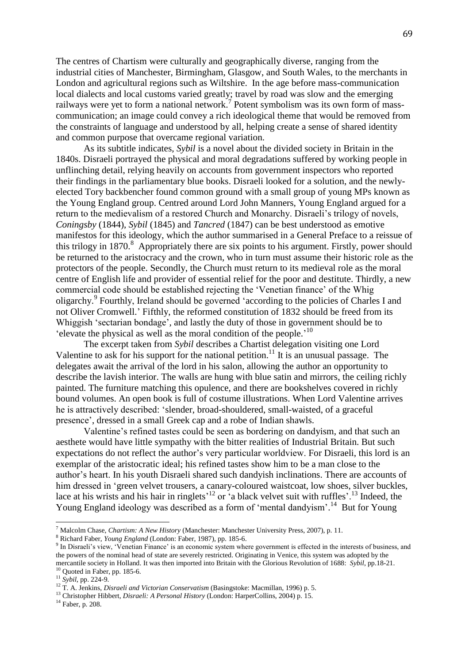The centres of Chartism were culturally and geographically diverse, ranging from the industrial cities of Manchester, Birmingham, Glasgow, and South Wales, to the merchants in London and agricultural regions such as Wiltshire. In the age before mass-communication local dialects and local customs varied greatly; travel by road was slow and the emerging railways were yet to form a national network.<sup>7</sup> Potent symbolism was its own form of masscommunication; an image could convey a rich ideological theme that would be removed from the constraints of language and understood by all, helping create a sense of shared identity and common purpose that overcame regional variation.

As its subtitle indicates, *Sybil* is a novel about the divided society in Britain in the 1840s. Disraeli portrayed the physical and moral degradations suffered by working people in unflinching detail, relying heavily on accounts from government inspectors who reported their findings in the parliamentary blue books. Disraeli looked for a solution, and the newlyelected Tory backbencher found common ground with a small group of young MPs known as the Young England group. Centred around Lord John Manners, Young England argued for a return to the medievalism of a restored Church and Monarchy. Disraeli's trilogy of novels, *Coningsby* (1844), *Sybil* (1845) and *Tancred* (1847) can be best understood as emotive manifestos for this ideology, which the author summarised in a General Preface to a reissue of this trilogy in 1870.<sup>8</sup> Appropriately there are six points to his argument. Firstly, power should be returned to the aristocracy and the crown, who in turn must assume their historic role as the protectors of the people. Secondly, the Church must return to its medieval role as the moral centre of English life and provider of essential relief for the poor and destitute. Thirdly, a new commercial code should be established rejecting the 'Venetian finance' of the Whig oligarchy.<sup>9</sup> Fourthly, Ireland should be governed 'according to the policies of Charles I and not Oliver Cromwell.' Fifthly, the reformed constitution of 1832 should be freed from its Whiggish 'sectarian bondage', and lastly the duty of those in government should be to 'elevate the physical as well as the moral condition of the people.' 10

The excerpt taken from *Sybil* describes a Chartist delegation visiting one Lord Valentine to ask for his support for the national petition.<sup>11</sup> It is an unusual passage. The delegates await the arrival of the lord in his salon, allowing the author an opportunity to describe the lavish interior. The walls are hung with blue satin and mirrors, the ceiling richly painted. The furniture matching this opulence, and there are bookshelves covered in richly bound volumes. An open book is full of costume illustrations. When Lord Valentine arrives he is attractively described: 'slender, broad-shouldered, small-waisted, of a graceful presence', dressed in a small Greek cap and a robe of Indian shawls.

Valentine's refined tastes could be seen as bordering on dandyism, and that such an aesthete would have little sympathy with the bitter realities of Industrial Britain. But such expectations do not reflect the author's very particular worldview. For Disraeli, this lord is an exemplar of the aristocratic ideal; his refined tastes show him to be a man close to the author's heart. In his youth Disraeli shared such dandyish inclinations. There are accounts of him dressed in 'green velvet trousers, a canary-coloured waistcoat, low shoes, silver buckles, lace at his wrists and his hair in ringlets<sup> $12$ </sup> or  $\alpha$  black velvet suit with ruffles'.<sup>13</sup> Indeed, the Young England ideology was described as a form of 'mental dandyism'.<sup>14</sup> But for Young

 $\overline{a}$ 

<sup>7</sup> Malcolm Chase, *Chartism: A New History* (Manchester: Manchester University Press, 2007), p. 11.

<sup>8</sup> Richard Faber, *Young England* (London: Faber, 1987), pp. 185-6.

<sup>&</sup>lt;sup>9</sup> In Disraeli's view, 'Venetian Finance' is an economic system where government is effected in the interests of business, and the powers of the nominal head of state are severely restricted. Originating in Venice, this system was adopted by the mercantile society in Holland. It was then imported into Britain with the Glorious Revolution of 1688: *Sybil*, pp.18-21.  $10$  Quoted in Faber, pp. 185-6.

<sup>11</sup> *Sybil*, pp. 224-9.

<sup>12</sup> T. A. Jenkins, *Disraeli and Victorian Conservatism* (Basingstoke: Macmillan, 1996) p. 5.

<sup>&</sup>lt;sup>13</sup> Christopher Hibbert, *Disraeli: A Personal History* (London: HarperCollins, 2004) p. 15.

<sup>14</sup> Faber, p. 208.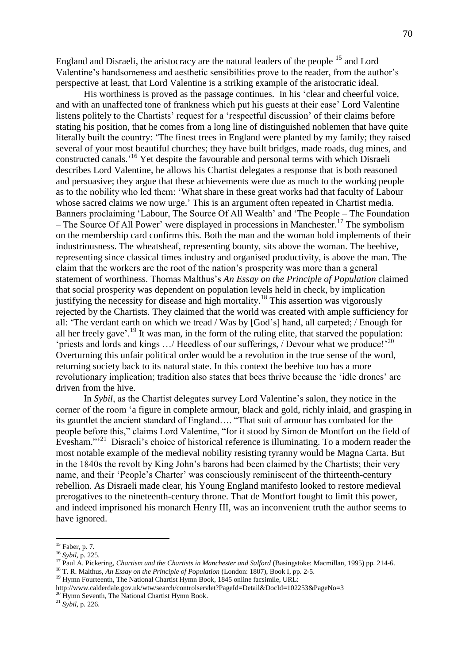England and Disraeli, the aristocracy are the natural leaders of the people <sup>15</sup> and Lord Valentine's handsomeness and aesthetic sensibilities prove to the reader, from the author's perspective at least, that Lord Valentine is a striking example of the aristocratic ideal.

His worthiness is proved as the passage continues. In his 'clear and cheerful voice, and with an unaffected tone of frankness which put his guests at their ease' Lord Valentine listens politely to the Chartists' request for a 'respectful discussion' of their claims before stating his position, that he comes from a long line of distinguished noblemen that have quite literally built the country: 'The finest trees in England were planted by my family; they raised several of your most beautiful churches; they have built bridges, made roads, dug mines, and constructed canals.' <sup>16</sup> Yet despite the favourable and personal terms with which Disraeli describes Lord Valentine, he allows his Chartist delegates a response that is both reasoned and persuasive; they argue that these achievements were due as much to the working people as to the nobility who led them: 'What share in these great works had that faculty of Labour whose sacred claims we now urge.' This is an argument often repeated in Chartist media. Banners proclaiming 'Labour, The Source Of All Wealth' and 'The People – The Foundation – The Source Of All Power' were displayed in processions in Manchester.<sup>17</sup> The symbolism on the membership card confirms this. Both the man and the woman hold implements of their industriousness. The wheatsheaf, representing bounty, sits above the woman. The beehive, representing since classical times industry and organised productivity, is above the man. The claim that the workers are the root of the nation's prosperity was more than a general statement of worthiness. Thomas Malthus's *An Essay on the Principle of Population* claimed that social prosperity was dependent on population levels held in check, by implication justifying the necessity for disease and high mortality.<sup>18</sup> This assertion was vigorously rejected by the Chartists. They claimed that the world was created with ample sufficiency for all: 'The verdant earth on which we tread / Was by [God's] hand, all carpeted; / Enough for all her freely gave'.<sup>19</sup> It was man, in the form of the ruling elite, that starved the population: 'priests and lords and kings .../ Heedless of our sufferings, / Devour what we produce!'<sup>20</sup> Overturning this unfair political order would be a revolution in the true sense of the word, returning society back to its natural state. In this context the beehive too has a more revolutionary implication; tradition also states that bees thrive because the 'idle drones' are driven from the hive.

In *Sybil*, as the Chartist delegates survey Lord Valentine's salon, they notice in the corner of the room 'a figure in complete armour, black and gold, richly inlaid, and grasping in its gauntlet the ancient standard of England…. "That suit of armour has combated for the people before this," claims Lord Valentine, "for it stood by Simon de Montfort on the field of Evesham."<sup>21</sup> Disraeli's choice of historical reference is illuminating. To a modern reader the most notable example of the medieval nobility resisting tyranny would be Magna Carta. But in the 1840s the revolt by King John's barons had been claimed by the Chartists; their very name, and their 'People's Charter' was consciously reminiscent of the thirteenth-century rebellion. As Disraeli made clear, his Young England manifesto looked to restore medieval prerogatives to the nineteenth-century throne. That de Montfort fought to limit this power, and indeed imprisoned his monarch Henry III, was an inconvenient truth the author seems to have ignored.

 $\overline{a}$ 

<sup>21</sup> *Sybil*, p. 226.

 $15$  Faber, p. 7.

<sup>16</sup> *Sybil,* p. 225.

<sup>&</sup>lt;sup>17</sup> Paul A. Pickering, *Chartism and the Chartists in Manchester and Salford* (Basingstoke: Macmillan, 1995) pp. 214-6.

<sup>18</sup> T. R. Malthus, *An Essay on the Principle of Population* (London: 1807), Book I, pp. 2-5.

<sup>&</sup>lt;sup>19</sup> Hymn Fourteenth, The National Chartist Hymn Book, 1845 online facsimile, URL:

http://www.calderdale.gov.uk/wtw/search/controlservlet?PageId=Detail&DocId=102253&PageNo=3  $^{20}$  Hymn Seventh, The National Chartist Hymn Book.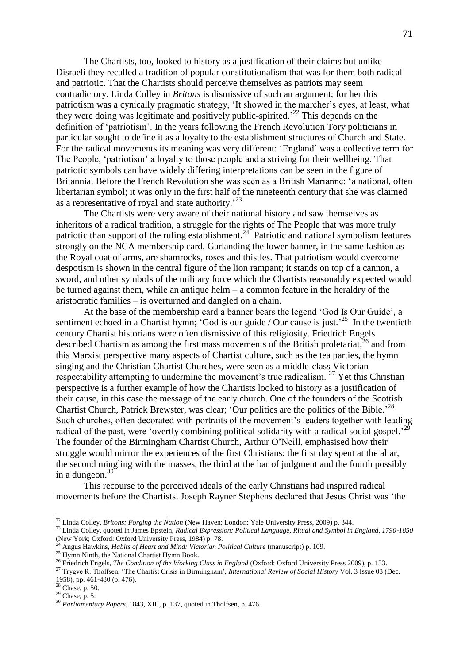The Chartists, too, looked to history as a justification of their claims but unlike Disraeli they recalled a tradition of popular constitutionalism that was for them both radical and patriotic. That the Chartists should perceive themselves as patriots may seem contradictory. Linda Colley in *Britons* is dismissive of such an argument; for her this patriotism was a cynically pragmatic strategy, 'It showed in the marcher's eyes, at least, what they were doing was legitimate and positively public-spirited.<sup>22</sup> This depends on the definition of 'patriotism'. In the years following the French Revolution Tory politicians in particular sought to define it as a loyalty to the establishment structures of Church and State. For the radical movements its meaning was very different: 'England' was a collective term for The People, 'patriotism' a loyalty to those people and a striving for their wellbeing. That patriotic symbols can have widely differing interpretations can be seen in the figure of Britannia. Before the French Revolution she was seen as a British Marianne: 'a national, often libertarian symbol; it was only in the first half of the nineteenth century that she was claimed as a representative of royal and state authority.<sup>23</sup>

The Chartists were very aware of their national history and saw themselves as inheritors of a radical tradition, a struggle for the rights of The People that was more truly patriotic than support of the ruling establishment.<sup>24</sup> Patriotic and national symbolism features strongly on the NCA membership card. Garlanding the lower banner, in the same fashion as the Royal coat of arms, are shamrocks, roses and thistles. That patriotism would overcome despotism is shown in the central figure of the lion rampant; it stands on top of a cannon, a sword, and other symbols of the military force which the Chartists reasonably expected would be turned against them, while an antique helm – a common feature in the heraldry of the aristocratic families – is overturned and dangled on a chain.

At the base of the membership card a banner bears the legend 'God Is Our Guide', a sentiment echoed in a Chartist hymn; 'God is our guide / Our cause is just.<sup>25</sup> In the twentieth century Chartist historians were often dismissive of this religiosity. Friedrich Engels described Chartism as among the first mass movements of the British proletariat, $^{26}$  and from this Marxist perspective many aspects of Chartist culture, such as the tea parties, the hymn singing and the Christian Chartist Churches, were seen as a middle-class Victorian respectability attempting to undermine the movement's true radicalism. <sup>27</sup> Yet this Christian perspective is a further example of how the Chartists looked to history as a justification of their cause, in this case the message of the early church. One of the founders of the Scottish Chartist Church, Patrick Brewster, was clear; 'Our politics are the politics of the Bible.<sup>28</sup> Such churches, often decorated with portraits of the movement's leaders together with leading radical of the past, were 'overtly combining political solidarity with a radical social gospel.<sup>29</sup> The founder of the Birmingham Chartist Church, Arthur O'Neill, emphasised how their struggle would mirror the experiences of the first Christians: the first day spent at the altar, the second mingling with the masses, the third at the bar of judgment and the fourth possibly in a dungeon. $30$ 

This recourse to the perceived ideals of the early Christians had inspired radical movements before the Chartists. Joseph Rayner Stephens declared that Jesus Christ was 'the

 $\overline{a}$ 

<sup>22</sup> Linda Colley, *Britons: Forging the Nation* (New Haven; London: Yale University Press, 2009) p. 344.

<sup>&</sup>lt;sup>23</sup> Linda Colley, quoted in James Epstein, *Radical Expression: Political Language, Ritual and Symbol in England, 1790-1850* (New York; Oxford: Oxford University Press, 1984) p. 78.

<sup>&</sup>lt;sup>24</sup> Angus Hawkins, *Habits of Heart and Mind: Victorian Political Culture* (manuscript) p. 109.

<sup>&</sup>lt;sup>25</sup> Hymn Ninth, the National Chartist Hymn Book.

<sup>&</sup>lt;sup>26</sup> Friedrich Engels, *The Condition of the Working Class in England* (Oxford: Oxford University Press 2009), p. 133.

<sup>27</sup> Trygve R. Tholfsen, 'The Chartist Crisis in Birmingham', *International Review of Social History* Vol. 3 Issue 03 (Dec. 1958), pp. 461-480 (p. 476).

<sup>28</sup> Chase, p. 50.

 $29$  Chase, p. 5.

<sup>30</sup> *Parliamentary Papers*, 1843, XIII, p. 137, quoted in Tholfsen, p. 476.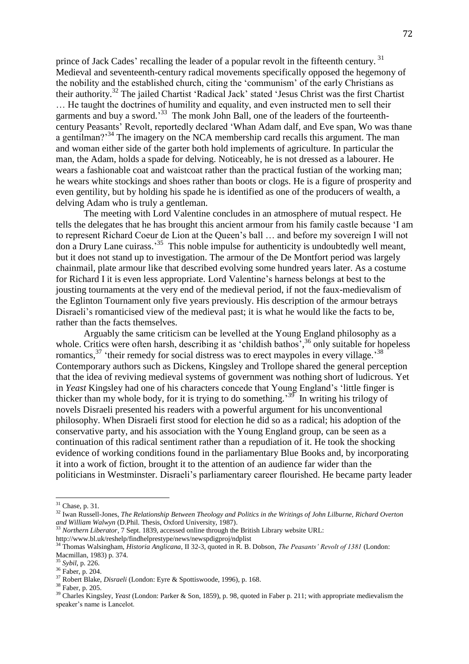prince of Jack Cades' recalling the leader of a popular revolt in the fifteenth century.<sup>31</sup> Medieval and seventeenth-century radical movements specifically opposed the hegemony of the nobility and the established church, citing the 'communism' of the early Christians as their authority.<sup>32</sup> The jailed Chartist 'Radical Jack' stated 'Jesus Christ was the first Chartist … He taught the doctrines of humility and equality, and even instructed men to sell their garments and buy a sword.<sup>33</sup> The monk John Ball, one of the leaders of the fourteenthcentury Peasants' Revolt, reportedly declared 'Whan Adam dalf, and Eve span, Wo was thane a gentilman?<sup>34</sup> The imagery on the NCA membership card recalls this argument. The man and woman either side of the garter both hold implements of agriculture. In particular the man, the Adam, holds a spade for delving. Noticeably, he is not dressed as a labourer. He wears a fashionable coat and waistcoat rather than the practical fustian of the working man; he wears white stockings and shoes rather than boots or clogs. He is a figure of prosperity and even gentility, but by holding his spade he is identified as one of the producers of wealth, a delving Adam who is truly a gentleman.

The meeting with Lord Valentine concludes in an atmosphere of mutual respect. He tells the delegates that he has brought this ancient armour from his family castle because 'I am to represent Richard Coeur de Lion at the Queen's ball … and before my sovereign I will not don a Drury Lane cuirass.<sup>35</sup> This noble impulse for authenticity is undoubtedly well meant, but it does not stand up to investigation. The armour of the De Montfort period was largely chainmail, plate armour like that described evolving some hundred years later. As a costume for Richard I it is even less appropriate. Lord Valentine's harness belongs at best to the jousting tournaments at the very end of the medieval period, if not the faux-medievalism of the Eglinton Tournament only five years previously. His description of the armour betrays Disraeli's romanticised view of the medieval past; it is what he would like the facts to be, rather than the facts themselves.

Arguably the same criticism can be levelled at the Young England philosophy as a whole. Critics were often harsh, describing it as 'childish bathos',<sup>36</sup> only suitable for hopeless romantics,  $37$  'their remedy for social distress was to erect maypoles in every village.<sup>38</sup> Contemporary authors such as Dickens, Kingsley and Trollope shared the general perception that the idea of reviving medieval systems of government was nothing short of ludicrous. Yet in *Yeast* Kingsley had one of his characters concede that Young England's 'little finger is thicker than my whole body, for it is trying to do something.<sup>39</sup> In writing his trilogy of novels Disraeli presented his readers with a powerful argument for his unconventional philosophy. When Disraeli first stood for election he did so as a radical; his adoption of the conservative party, and his association with the Young England group, can be seen as a continuation of this radical sentiment rather than a repudiation of it. He took the shocking evidence of working conditions found in the parliamentary Blue Books and, by incorporating it into a work of fiction, brought it to the attention of an audience far wider than the politicians in Westminster. Disraeli's parliamentary career flourished. He became party leader

 $\overline{a}$ 

 $31$  Chase, p. 31.

<sup>32</sup> Iwan Russell-Jones, *The Relationship Between Theology and Politics in the Writings of John Lilburne, Richard Overton and William Walwyn* (D.Phil. Thesis, Oxford University, 1987).

<sup>33</sup> *Northern Liberator*, 7 Sept. 1839, accessed online through the British Library website URL: http://www.bl.uk/reshelp/findhelprestype/news/newspdigproj/ndplist

<sup>34</sup> Thomas Walsingham, *Historia Anglicana*, II 32-3, quoted in R. B. Dobson, *The Peasants' Revolt of 1381* (London: Macmillan, 1983) p. 374.

<sup>35</sup> *Sybil*, p. 226.

<sup>36</sup> Faber, p. 204.

<sup>37</sup> Robert Blake, *Disraeli* (London: Eyre & Spottiswoode, 1996), p. 168.

<sup>38</sup> Faber, p. 205.

<sup>&</sup>lt;sup>39</sup> Charles Kingsley, *Yeast* (London: Parker & Son, 1859), p. 98, quoted in Faber p. 211; with appropriate medievalism the speaker's name is Lancelot.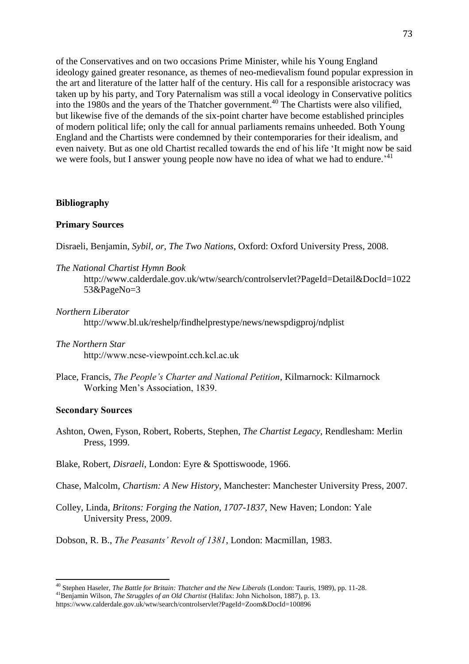of the Conservatives and on two occasions Prime Minister, while his Young England ideology gained greater resonance, as themes of neo-medievalism found popular expression in the art and literature of the latter half of the century. His call for a responsible aristocracy was taken up by his party, and Tory Paternalism was still a vocal ideology in Conservative politics into the 1980s and the years of the Thatcher government. <sup>40</sup> The Chartists were also vilified, but likewise five of the demands of the six-point charter have become established principles of modern political life; only the call for annual parliaments remains unheeded. Both Young England and the Chartists were condemned by their contemporaries for their idealism, and even naivety. But as one old Chartist recalled towards the end of his life 'It might now be said we were fools, but I answer young people now have no idea of what we had to endure.<sup>241</sup>

#### **Bibliography**

## **Primary Sources**

Disraeli, Benjamin, *Sybil, or, The Two Nations*, Oxford: Oxford University Press, 2008.

*The National Chartist Hymn Book*

http://www.calderdale.gov.uk/wtw/search/controlservlet?PageId=Detail&DocId=1022 53&PageNo=3

#### *Northern Liberator*

http://www.bl.uk/reshelp/findhelprestype/news/newspdigproj/ndplist

- *The Northern Star* http://www.ncse-viewpoint.cch.kcl.ac.uk
- Place, Francis, *The People's Charter and National Petition*, Kilmarnock: Kilmarnock Working Men's Association, 1839.

## **Secondary Sources**

 $\overline{a}$ 

- Ashton, Owen, Fyson, Robert, Roberts, Stephen, *The Chartist Legacy*, Rendlesham: Merlin Press, 1999.
- Blake, Robert, *Disraeli*, London: Eyre & Spottiswoode, 1966.

Chase, Malcolm, *Chartism: A New History*, Manchester: Manchester University Press, 2007.

Colley, Linda, *Britons: Forging the Nation, 1707-1837*, New Haven; London: Yale University Press, 2009.

Dobson, R. B., *The Peasants' Revolt of 1381*, London: Macmillan, 1983.

<sup>40</sup> Stephen Haseler, *The Battle for Britain: Thatcher and the New Liberals* (London: Tauris, 1989), pp. 11-28.

<sup>41</sup>Benjamin Wilson, *The Struggles of an Old Chartist* (Halifax: John Nicholson, 1887), p. 13.

https://www.calderdale.gov.uk/wtw/search/controlservlet?PageId=Zoom&DocId=100896